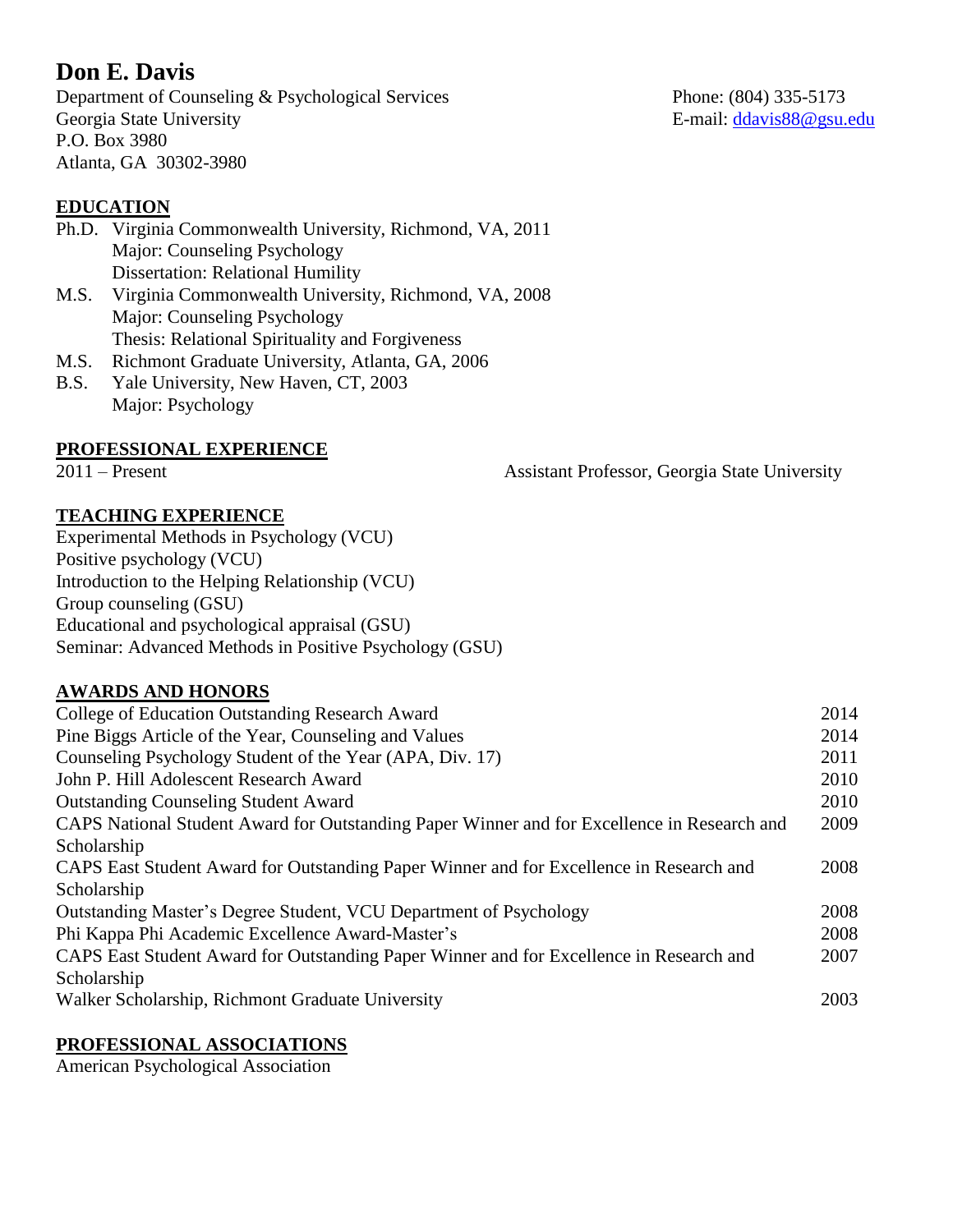# **Don E. Davis**

Department of Counseling & Psychological Services Phone: (804) 335-5173 Georgia State University **E**-mail: [ddavis88@gsu.edu](mailto:davisde@vcu.edu) P.O. Box 3980 Atlanta, GA 30302-3980

# **EDUCATION**

- Ph.D. Virginia Commonwealth University, Richmond, VA, 2011 Major: Counseling Psychology Dissertation: Relational Humility M.S. Virginia Commonwealth University, Richmond, VA, 2008
- Major: Counseling Psychology Thesis: Relational Spirituality and Forgiveness
- M.S. Richmont Graduate University, Atlanta, GA, 2006
- B.S. Yale University, New Haven, CT, 2003 Major: Psychology

## **PROFESSIONAL EXPERIENCE**

2011 – Present Assistant Professor, Georgia State University

# **TEACHING EXPERIENCE**

Experimental Methods in Psychology (VCU) Positive psychology (VCU) Introduction to the Helping Relationship (VCU) Group counseling (GSU) Educational and psychological appraisal (GSU) Seminar: Advanced Methods in Positive Psychology (GSU)

## **AWARDS AND HONORS**

| College of Education Outstanding Research Award                                             | 2014 |
|---------------------------------------------------------------------------------------------|------|
| Pine Biggs Article of the Year, Counseling and Values                                       | 2014 |
| Counseling Psychology Student of the Year (APA, Div. 17)                                    | 2011 |
| John P. Hill Adolescent Research Award                                                      | 2010 |
| <b>Outstanding Counseling Student Award</b>                                                 | 2010 |
| CAPS National Student Award for Outstanding Paper Winner and for Excellence in Research and | 2009 |
| Scholarship                                                                                 |      |
| CAPS East Student Award for Outstanding Paper Winner and for Excellence in Research and     | 2008 |
| Scholarship                                                                                 |      |
| Outstanding Master's Degree Student, VCU Department of Psychology                           | 2008 |
| Phi Kappa Phi Academic Excellence Award-Master's                                            | 2008 |
| CAPS East Student Award for Outstanding Paper Winner and for Excellence in Research and     | 2007 |
| Scholarship                                                                                 |      |
| Walker Scholarship, Richmont Graduate University                                            | 2003 |

## **PROFESSIONAL ASSOCIATIONS**

American Psychological Association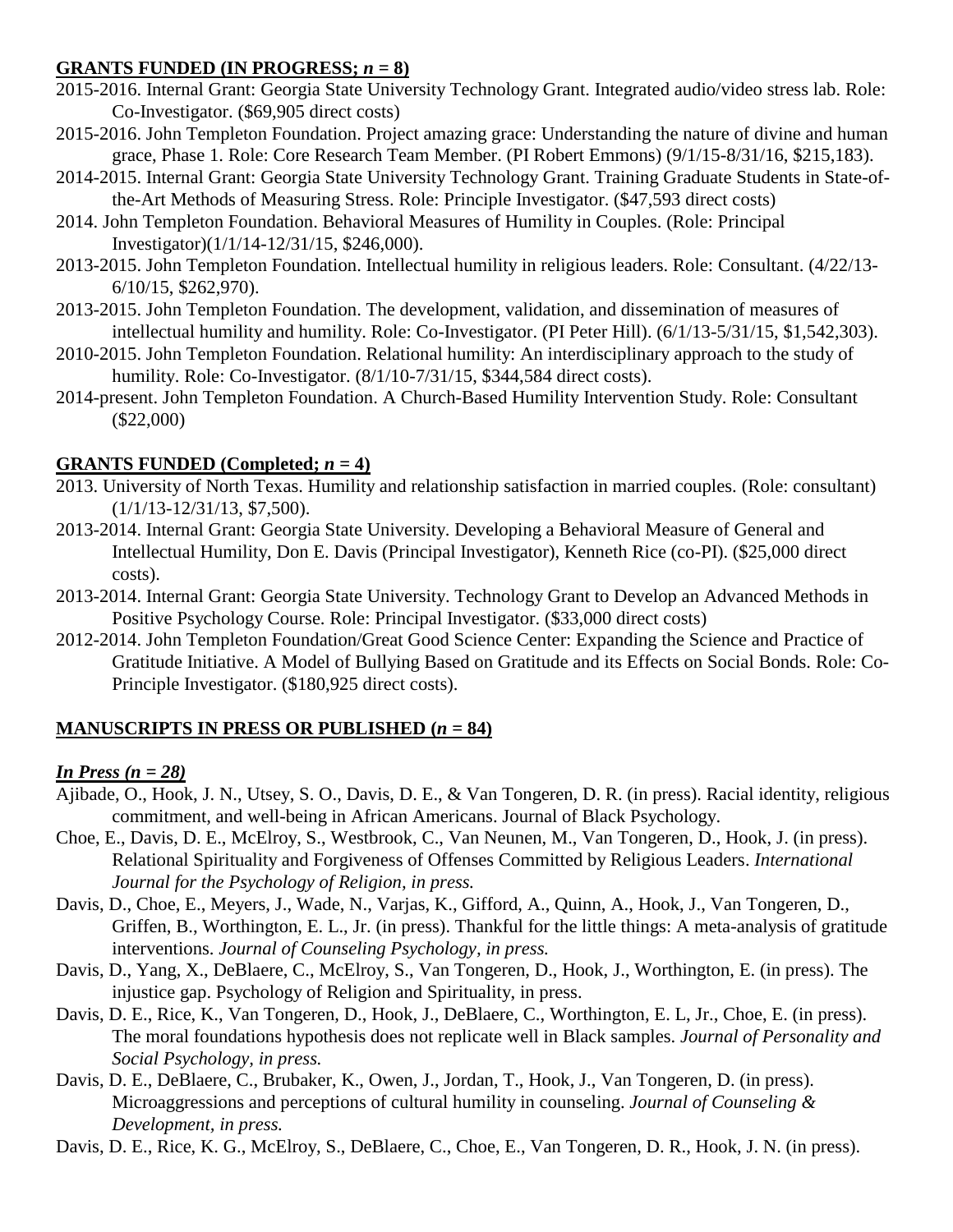## **GRANTS FUNDED (IN PROGRESS;** *n* **= 8)**

- 2015-2016. Internal Grant: Georgia State University Technology Grant. Integrated audio/video stress lab. Role: Co-Investigator. (\$69,905 direct costs)
- 2015-2016. John Templeton Foundation. Project amazing grace: Understanding the nature of divine and human grace, Phase 1. Role: Core Research Team Member. (PI Robert Emmons) (9/1/15-8/31/16, \$215,183).
- 2014-2015. Internal Grant: Georgia State University Technology Grant. Training Graduate Students in State-ofthe-Art Methods of Measuring Stress. Role: Principle Investigator. (\$47,593 direct costs)
- 2014. John Templeton Foundation. Behavioral Measures of Humility in Couples. (Role: Principal Investigator)(1/1/14-12/31/15, \$246,000).
- 2013-2015. John Templeton Foundation. Intellectual humility in religious leaders. Role: Consultant. (4/22/13- 6/10/15, \$262,970).
- 2013-2015. John Templeton Foundation. The development, validation, and dissemination of measures of intellectual humility and humility. Role: Co-Investigator. (PI Peter Hill). (6/1/13-5/31/15, \$1,542,303).
- 2010-2015. John Templeton Foundation. Relational humility: An interdisciplinary approach to the study of humility. Role: Co-Investigator. (8/1/10-7/31/15, \$344,584 direct costs).
- 2014-present. John Templeton Foundation. A Church-Based Humility Intervention Study. Role: Consultant (\$22,000)

# **GRANTS FUNDED** (Completed;  $n = 4$ )

- 2013. University of North Texas. Humility and relationship satisfaction in married couples. (Role: consultant) (1/1/13-12/31/13, \$7,500).
- 2013-2014. Internal Grant: Georgia State University. Developing a Behavioral Measure of General and Intellectual Humility, Don E. Davis (Principal Investigator), Kenneth Rice (co-PI). (\$25,000 direct costs).
- 2013-2014. Internal Grant: Georgia State University. Technology Grant to Develop an Advanced Methods in Positive Psychology Course. Role: Principal Investigator. (\$33,000 direct costs)
- 2012-2014. John Templeton Foundation/Great Good Science Center: Expanding the Science and Practice of Gratitude Initiative. A Model of Bullying Based on Gratitude and its Effects on Social Bonds. Role: Co-Principle Investigator. (\$180,925 direct costs).

# **MANUSCRIPTS IN PRESS OR PUBLISHED**  $(n = 84)$

## *In Press (n = 28)*

- Ajibade, O., Hook, J. N., Utsey, S. O., Davis, D. E., & Van Tongeren, D. R. (in press). Racial identity, religious commitment, and well-being in African Americans. Journal of Black Psychology.
- Choe, E., Davis, D. E., McElroy, S., Westbrook, C., Van Neunen, M., Van Tongeren, D., Hook, J. (in press). Relational Spirituality and Forgiveness of Offenses Committed by Religious Leaders. *International Journal for the Psychology of Religion, in press.*
- Davis, D., Choe, E., Meyers, J., Wade, N., Varjas, K., Gifford, A., Quinn, A., Hook, J., Van Tongeren, D., Griffen, B., Worthington, E. L., Jr. (in press). Thankful for the little things: A meta-analysis of gratitude interventions. *Journal of Counseling Psychology, in press.*
- Davis, D., Yang, X., DeBlaere, C., McElroy, S., Van Tongeren, D., Hook, J., Worthington, E. (in press). The injustice gap. Psychology of Religion and Spirituality, in press.
- Davis, D. E., Rice, K., Van Tongeren, D., Hook, J., DeBlaere, C., Worthington, E. L, Jr., Choe, E. (in press). The moral foundations hypothesis does not replicate well in Black samples. *Journal of Personality and Social Psychology, in press.*
- Davis, D. E., DeBlaere, C., Brubaker, K., Owen, J., Jordan, T., Hook, J., Van Tongeren, D. (in press). Microaggressions and perceptions of cultural humility in counseling. *Journal of Counseling & Development, in press.*
- Davis, D. E., Rice, K. G., McElroy, S., DeBlaere, C., Choe, E., Van Tongeren, D. R., Hook, J. N. (in press).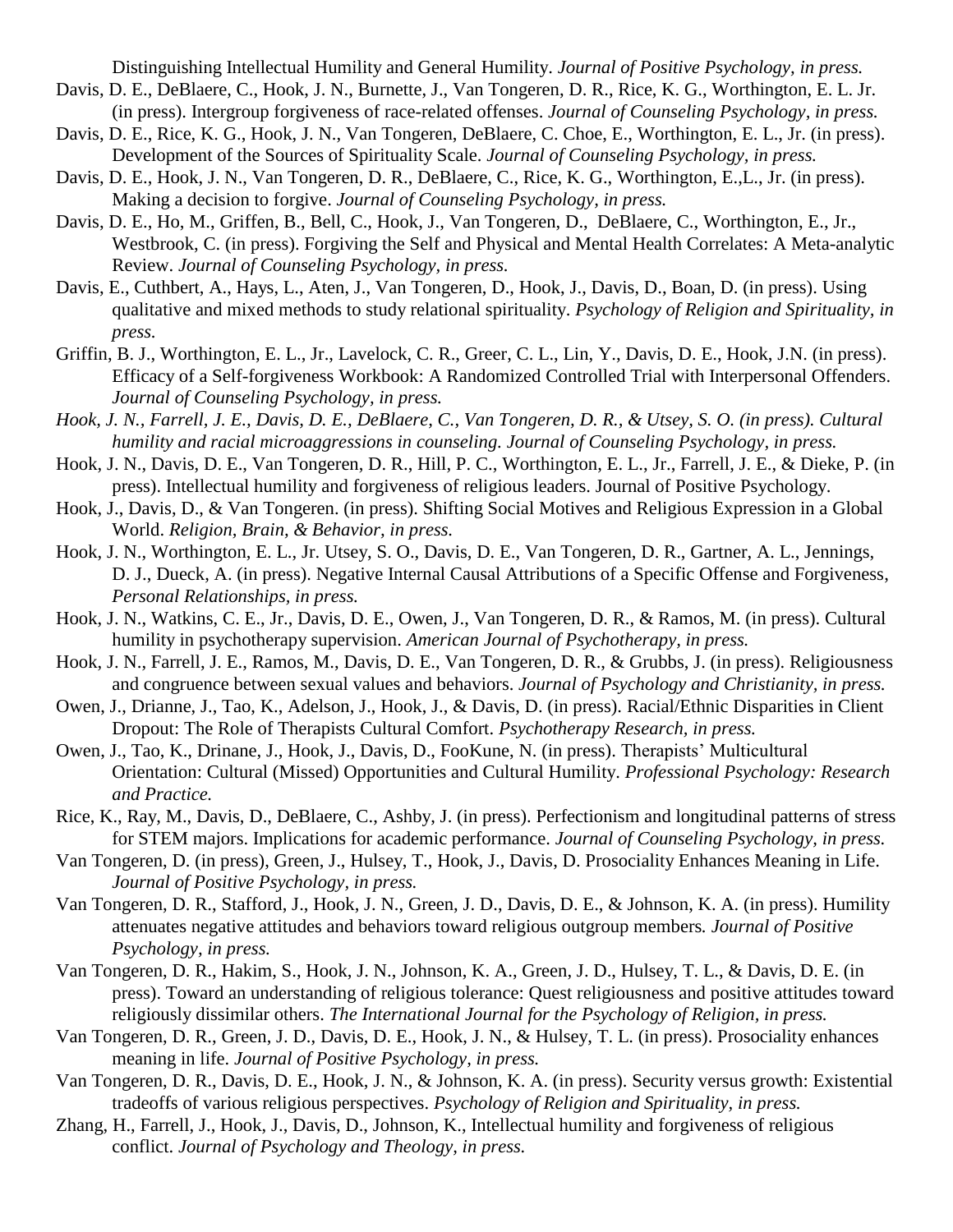Distinguishing Intellectual Humility and General Humility. *Journal of Positive Psychology, in press.*

- Davis, D. E., DeBlaere, C., Hook, J. N., Burnette, J., Van Tongeren, D. R., Rice, K. G., Worthington, E. L. Jr. (in press). Intergroup forgiveness of race-related offenses. *Journal of Counseling Psychology, in press.*
- Davis, D. E., Rice, K. G., Hook, J. N., Van Tongeren, DeBlaere, C. Choe, E., Worthington, E. L., Jr. (in press). Development of the Sources of Spirituality Scale. *Journal of Counseling Psychology, in press.*
- Davis, D. E., Hook, J. N., Van Tongeren, D. R., DeBlaere, C., Rice, K. G., Worthington, E.,L., Jr. (in press). Making a decision to forgive. *Journal of Counseling Psychology, in press.*
- Davis, D. E., Ho, M., Griffen, B., Bell, C., Hook, J., Van Tongeren, D., DeBlaere, C., Worthington, E., Jr., Westbrook, C. (in press). Forgiving the Self and Physical and Mental Health Correlates: A Meta-analytic Review. *Journal of Counseling Psychology, in press.*
- Davis, E., Cuthbert, A., Hays, L., Aten, J., Van Tongeren, D., Hook, J., Davis, D., Boan, D. (in press). Using qualitative and mixed methods to study relational spirituality. *Psychology of Religion and Spirituality, in press.*
- Griffin, B. J., Worthington, E. L., Jr., Lavelock, C. R., Greer, C. L., Lin, Y., Davis, D. E., Hook, J.N. (in press). Efficacy of a Self-forgiveness Workbook: A Randomized Controlled Trial with Interpersonal Offenders. *Journal of Counseling Psychology, in press.*
- *Hook, J. N., Farrell, J. E., Davis, D. E., DeBlaere, C., Van Tongeren, D. R., & Utsey, S. O. (in press). Cultural humility and racial microaggressions in counseling. Journal of Counseling Psychology, in press.*
- Hook, J. N., Davis, D. E., Van Tongeren, D. R., Hill, P. C., Worthington, E. L., Jr., Farrell, J. E., & Dieke, P. (in press). Intellectual humility and forgiveness of religious leaders. Journal of Positive Psychology.
- Hook, J., Davis, D., & Van Tongeren. (in press). Shifting Social Motives and Religious Expression in a Global World. *Religion, Brain, & Behavior, in press.*
- Hook, J. N., Worthington, E. L., Jr. Utsey, S. O., Davis, D. E., Van Tongeren, D. R., Gartner, A. L., Jennings, D. J., Dueck, A. (in press). Negative Internal Causal Attributions of a Specific Offense and Forgiveness, *Personal Relationships, in press.*
- Hook, J. N., Watkins, C. E., Jr., Davis, D. E., Owen, J., Van Tongeren, D. R., & Ramos, M. (in press). Cultural humility in psychotherapy supervision. *American Journal of Psychotherapy, in press.*
- Hook, J. N., Farrell, J. E., Ramos, M., Davis, D. E., Van Tongeren, D. R., & Grubbs, J. (in press). Religiousness and congruence between sexual values and behaviors. *Journal of Psychology and Christianity, in press.*
- Owen, J., Drianne, J., Tao, K., Adelson, J., Hook, J., & Davis, D. (in press). Racial/Ethnic Disparities in Client Dropout: The Role of Therapists Cultural Comfort. *Psychotherapy Research, in press.*
- Owen, J., Tao, K., Drinane, J., Hook, J., Davis, D., FooKune, N. (in press). Therapists' Multicultural Orientation: Cultural (Missed) Opportunities and Cultural Humility. *Professional Psychology: Research and Practice.*
- Rice, K., Ray, M., Davis, D., DeBlaere, C., Ashby, J. (in press). Perfectionism and longitudinal patterns of stress for STEM majors. Implications for academic performance. *Journal of Counseling Psychology, in press.*
- Van Tongeren, D. (in press), Green, J., Hulsey, T., Hook, J., Davis, D. Prosociality Enhances Meaning in Life. *Journal of Positive Psychology, in press.*
- Van Tongeren, D. R., Stafford, J., Hook, J. N., Green, J. D., Davis, D. E., & Johnson, K. A. (in press). Humility attenuates negative attitudes and behaviors toward religious outgroup members*. Journal of Positive Psychology, in press.*
- Van Tongeren, D. R., Hakim, S., Hook, J. N., Johnson, K. A., Green, J. D., Hulsey, T. L., & Davis, D. E. (in press). Toward an understanding of religious tolerance: Quest religiousness and positive attitudes toward religiously dissimilar others. *The International Journal for the Psychology of Religion, in press.*
- Van Tongeren, D. R., Green, J. D., Davis, D. E., Hook, J. N., & Hulsey, T. L. (in press). Prosociality enhances meaning in life. *Journal of Positive Psychology, in press.*
- Van Tongeren, D. R., Davis, D. E., Hook, J. N., & Johnson, K. A. (in press). Security versus growth: Existential tradeoffs of various religious perspectives. *Psychology of Religion and Spirituality, in press.*
- Zhang, H., Farrell, J., Hook, J., Davis, D., Johnson, K., Intellectual humility and forgiveness of religious conflict. *Journal of Psychology and Theology, in press.*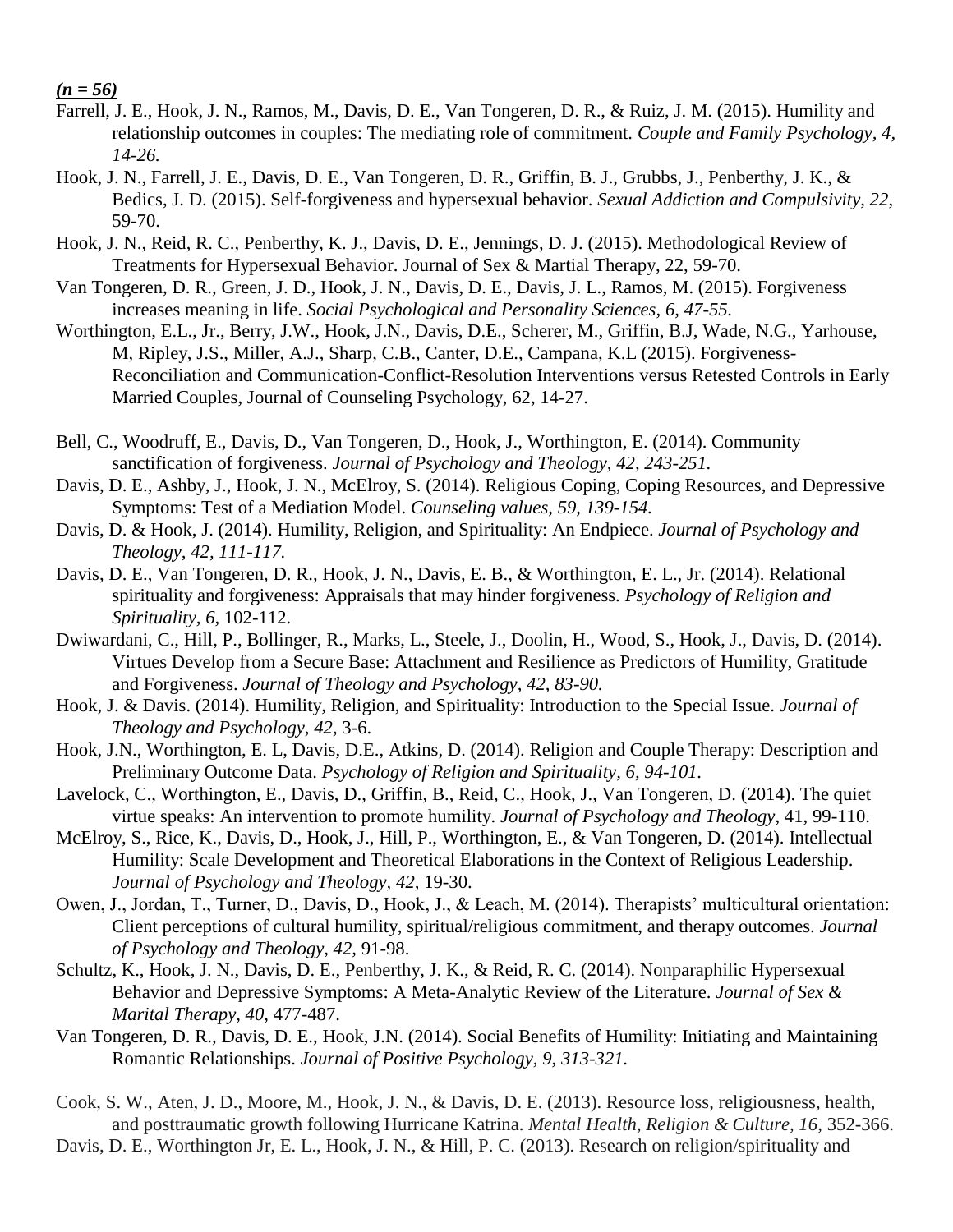#### *(n = 56)*

- Farrell, J. E., Hook, J. N., Ramos, M., Davis, D. E., Van Tongeren, D. R., & Ruiz, J. M. (2015). Humility and relationship outcomes in couples: The mediating role of commitment. *Couple and Family Psychology, 4, 14-26.*
- Hook, J. N., Farrell, J. E., Davis, D. E., Van Tongeren, D. R., Griffin, B. J., Grubbs, J., Penberthy, J. K., & Bedics, J. D. (2015). Self-forgiveness and hypersexual behavior. *Sexual Addiction and Compulsivity, 22*, 59-70.
- Hook, J. N., Reid, R. C., Penberthy, K. J., Davis, D. E., Jennings, D. J. (2015). Methodological Review of Treatments for Hypersexual Behavior. Journal of Sex & Martial Therapy, 22, 59-70.
- Van Tongeren, D. R., Green, J. D., Hook, J. N., Davis, D. E., Davis, J. L., Ramos, M. (2015). Forgiveness increases meaning in life. *Social Psychological and Personality Sciences, 6, 47-55.*
- Worthington, E.L., Jr., Berry, J.W., Hook, J.N., Davis, D.E., Scherer, M., Griffin, B.J, Wade, N.G., Yarhouse, M, Ripley, J.S., Miller, A.J., Sharp, C.B., Canter, D.E., Campana, K.L (2015). Forgiveness-Reconciliation and Communication-Conflict-Resolution Interventions versus Retested Controls in Early Married Couples, Journal of Counseling Psychology, 62, 14-27.
- Bell, C., Woodruff, E., Davis, D., Van Tongeren, D., Hook, J., Worthington, E. (2014). Community sanctification of forgiveness. *Journal of Psychology and Theology, 42, 243-251.*
- Davis, D. E., Ashby, J., Hook, J. N., McElroy, S. (2014). Religious Coping, Coping Resources, and Depressive Symptoms: Test of a Mediation Model. *Counseling values, 59, 139-154.*
- Davis, D. & Hook, J. (2014). Humility, Religion, and Spirituality: An Endpiece. *Journal of Psychology and Theology, 42, 111-117.*
- Davis, D. E., Van Tongeren, D. R., Hook, J. N., Davis, E. B., & Worthington, E. L., Jr. (2014). Relational spirituality and forgiveness: Appraisals that may hinder forgiveness. *Psychology of Religion and Spirituality, 6,* 102-112.
- Dwiwardani, C., Hill, P., Bollinger, R., Marks, L., Steele, J., Doolin, H., Wood, S., Hook, J., Davis, D. (2014). Virtues Develop from a Secure Base: Attachment and Resilience as Predictors of Humility, Gratitude and Forgiveness. *Journal of Theology and Psychology, 42, 83-90.*
- Hook, J. & Davis. (2014). Humility, Religion, and Spirituality: Introduction to the Special Issue. *Journal of Theology and Psychology, 42,* 3-6.
- Hook, J.N., Worthington, E. L, Davis, D.E., Atkins, D. (2014). Religion and Couple Therapy: Description and Preliminary Outcome Data. *Psychology of Religion and Spirituality, 6, 94-101.*
- Lavelock, C., Worthington, E., Davis, D., Griffin, B., Reid, C., Hook, J., Van Tongeren, D. (2014). The quiet virtue speaks: An intervention to promote humility. *Journal of Psychology and Theology*, 41, 99-110.
- McElroy, S., Rice, K., Davis, D., Hook, J., Hill, P., Worthington, E., & Van Tongeren, D. (2014). Intellectual Humility: Scale Development and Theoretical Elaborations in the Context of Religious Leadership. *Journal of Psychology and Theology, 42,* 19-30.
- Owen, J., Jordan, T., Turner, D., Davis, D., Hook, J., & Leach, M. (2014). Therapists' multicultural orientation: Client perceptions of cultural humility, spiritual/religious commitment, and therapy outcomes. *Journal of Psychology and Theology, 42,* 91-98.
- Schultz, K., Hook, J. N., Davis, D. E., Penberthy, J. K., & Reid, R. C. (2014). Nonparaphilic Hypersexual Behavior and Depressive Symptoms: A Meta-Analytic Review of the Literature. *Journal of Sex & Marital Therapy, 40,* 477-487.
- Van Tongeren, D. R., Davis, D. E., Hook, J.N. (2014). Social Benefits of Humility: Initiating and Maintaining Romantic Relationships. *Journal of Positive Psychology, 9, 313-321.*
- Cook, S. W., Aten, J. D., Moore, M., Hook, J. N., & Davis, D. E. (2013). Resource loss, religiousness, health, and posttraumatic growth following Hurricane Katrina. *Mental Health, Religion & Culture, 16*, 352-366. Davis, D. E., Worthington Jr, E. L., Hook, J. N., & Hill, P. C. (2013). Research on religion/spirituality and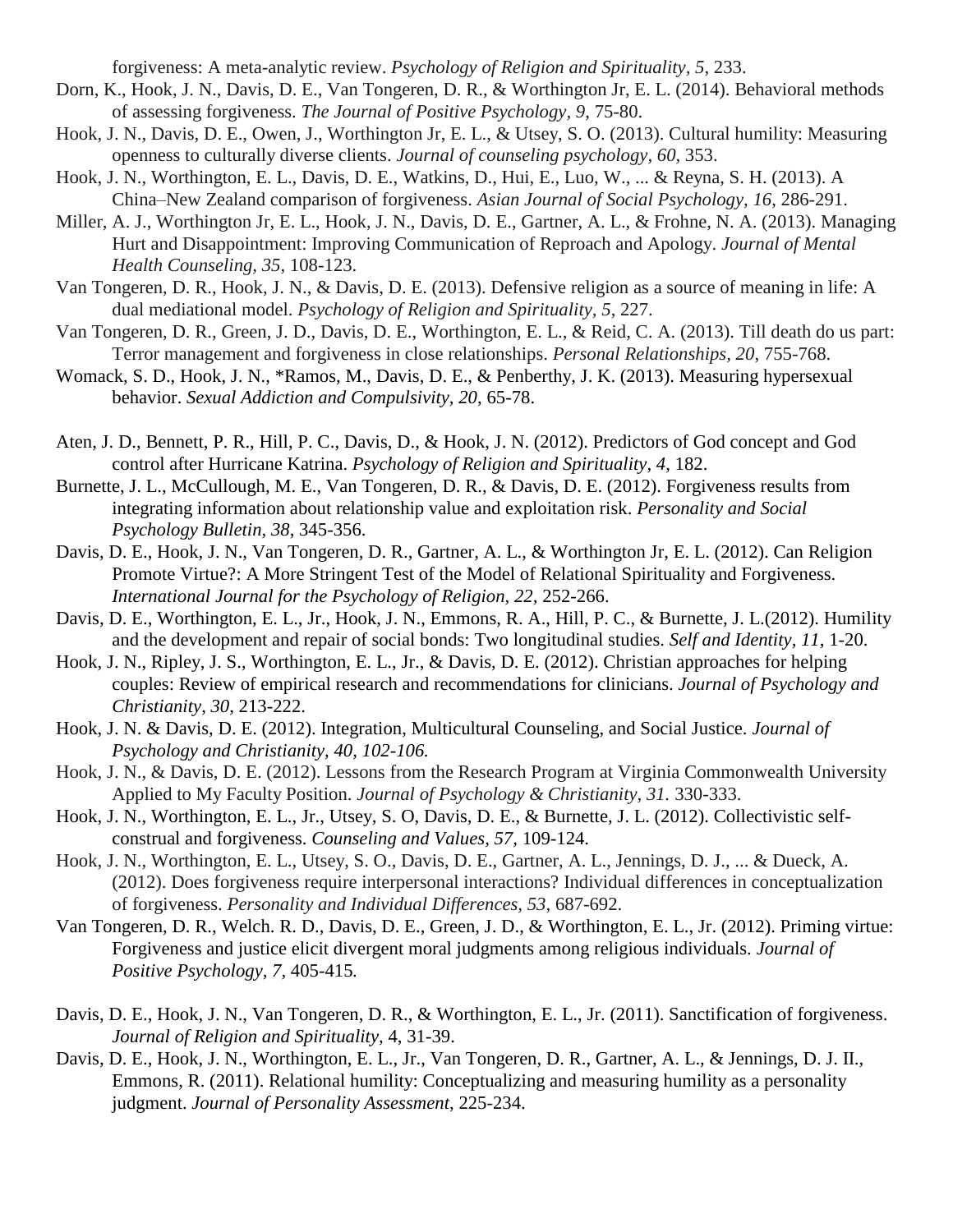forgiveness: A meta-analytic review. *Psychology of Religion and Spirituality, 5*, 233.

- Dorn, K., Hook, J. N., Davis, D. E., Van Tongeren, D. R., & Worthington Jr, E. L. (2014). Behavioral methods of assessing forgiveness. *The Journal of Positive Psychology, 9*, 75-80.
- Hook, J. N., Davis, D. E., Owen, J., Worthington Jr, E. L., & Utsey, S. O. (2013). Cultural humility: Measuring openness to culturally diverse clients. *Journal of counseling psychology, 60,* 353.
- Hook, J. N., Worthington, E. L., Davis, D. E., Watkins, D., Hui, E., Luo, W., ... & Reyna, S. H. (2013). A China–New Zealand comparison of forgiveness. *Asian Journal of Social Psychology, 16*, 286-291.
- Miller, A. J., Worthington Jr, E. L., Hook, J. N., Davis, D. E., Gartner, A. L., & Frohne, N. A. (2013). Managing Hurt and Disappointment: Improving Communication of Reproach and Apology. *Journal of Mental Health Counseling, 35,* 108-123.
- Van Tongeren, D. R., Hook, J. N., & Davis, D. E. (2013). Defensive religion as a source of meaning in life: A dual mediational model. *Psychology of Religion and Spirituality, 5*, 227.
- Van Tongeren, D. R., Green, J. D., Davis, D. E., Worthington, E. L., & Reid, C. A. (2013). Till death do us part: Terror management and forgiveness in close relationships. *Personal Relationships, 20*, 755-768.
- Womack, S. D., Hook, J. N., \*Ramos, M., Davis, D. E., & Penberthy, J. K. (2013). Measuring hypersexual behavior. *Sexual Addiction and Compulsivity, 20*, 65-78.
- Aten, J. D., Bennett, P. R., Hill, P. C., Davis, D., & Hook, J. N. (2012). Predictors of God concept and God control after Hurricane Katrina. *Psychology of Religion and Spirituality, 4*, 182.
- Burnette, J. L., McCullough, M. E., Van Tongeren, D. R., & Davis, D. E. (2012). Forgiveness results from integrating information about relationship value and exploitation risk. *Personality and Social Psychology Bulletin, 38*, 345-356.
- Davis, D. E., Hook, J. N., Van Tongeren, D. R., Gartner, A. L., & Worthington Jr, E. L. (2012). Can Religion Promote Virtue?: A More Stringent Test of the Model of Relational Spirituality and Forgiveness. *International Journal for the Psychology of Religion, 22,* 252-266.
- Davis, D. E., Worthington, E. L., Jr., Hook, J. N., Emmons, R. A., Hill, P. C., & Burnette, J. L.(2012). Humility and the development and repair of social bonds: Two longitudinal studies. *Self and Identity, 11*, 1-20.
- Hook, J. N., Ripley, J. S., Worthington, E. L., Jr., & Davis, D. E. (2012). Christian approaches for helping couples: Review of empirical research and recommendations for clinicians. *Journal of Psychology and Christianity*, *30*, 213-222.
- Hook, J. N. & Davis, D. E. (2012). Integration, Multicultural Counseling, and Social Justice. *Journal of Psychology and Christianity, 40, 102-106.*
- Hook, J. N., & Davis, D. E. (2012). Lessons from the Research Program at Virginia Commonwealth University Applied to My Faculty Position. *Journal of Psychology & Christianity, 31.* 330-333.
- Hook, J. N., Worthington, E. L., Jr., Utsey, S. O, Davis, D. E., & Burnette, J. L. (2012). Collectivistic selfconstrual and forgiveness. *Counseling and Values, 57,* 109-124.
- Hook, J. N., Worthington, E. L., Utsey, S. O., Davis, D. E., Gartner, A. L., Jennings, D. J., ... & Dueck, A. (2012). Does forgiveness require interpersonal interactions? Individual differences in conceptualization of forgiveness. *Personality and Individual Differences, 53*, 687-692.
- Van Tongeren, D. R., Welch. R. D., Davis, D. E., Green, J. D., & Worthington, E. L., Jr. (2012). Priming virtue: Forgiveness and justice elicit divergent moral judgments among religious individuals. *Journal of Positive Psychology, 7,* 405-415*.*
- Davis, D. E., Hook, J. N., Van Tongeren, D. R., & Worthington, E. L., Jr. (2011). Sanctification of forgiveness. *Journal of Religion and Spirituality,* 4, 31-39.
- Davis, D. E., Hook, J. N., Worthington, E. L., Jr., Van Tongeren, D. R., Gartner, A. L., & Jennings, D. J. II., Emmons, R. (2011). Relational humility: Conceptualizing and measuring humility as a personality judgment. *Journal of Personality Assessment*, 225-234.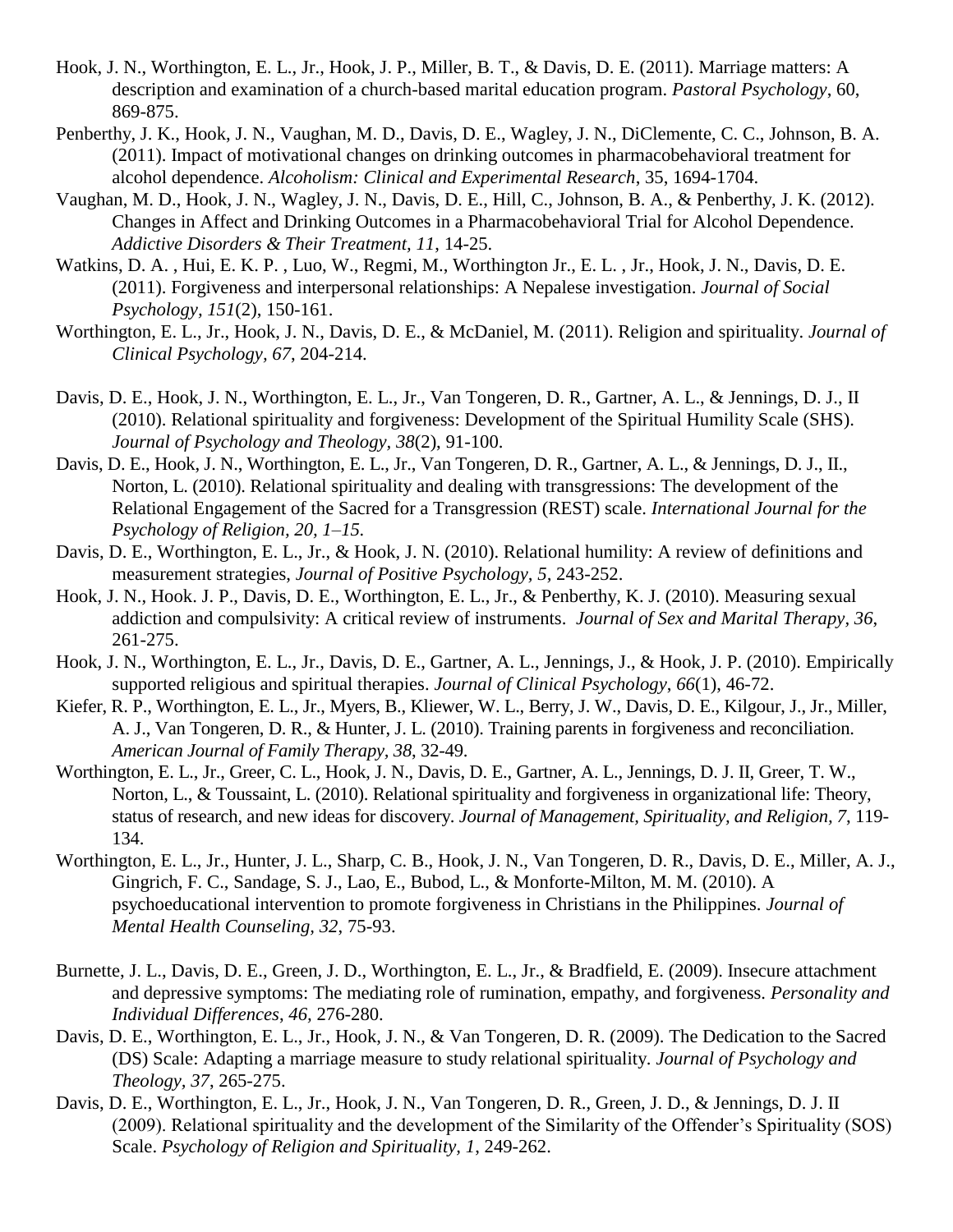- Hook, J. N., Worthington, E. L., Jr., Hook, J. P., Miller, B. T., & Davis, D. E. (2011). Marriage matters: A description and examination of a church-based marital education program. *Pastoral Psychology*, 60, 869-875.
- Penberthy, J. K., Hook, J. N., Vaughan, M. D., Davis, D. E., Wagley, J. N., DiClemente, C. C., Johnson, B. A. (2011). Impact of motivational changes on drinking outcomes in pharmacobehavioral treatment for alcohol dependence. *Alcoholism: Clinical and Experimental Research*, 35, 1694-1704.
- Vaughan, M. D., Hook, J. N., Wagley, J. N., Davis, D. E., Hill, C., Johnson, B. A., & Penberthy, J. K. (2012). Changes in Affect and Drinking Outcomes in a Pharmacobehavioral Trial for Alcohol Dependence. *Addictive Disorders & Their Treatment, 11*, 14-25.
- Watkins, D. A. , Hui, E. K. P. , Luo, W., Regmi, M., Worthington Jr., E. L. , Jr., Hook, J. N., Davis, D. E. (2011). Forgiveness and interpersonal relationships: A Nepalese investigation. *Journal of Social Psychology, 151*(2), 150-161.
- Worthington, E. L., Jr., Hook, J. N., Davis, D. E., & McDaniel, M. (2011). Religion and spirituality. *Journal of Clinical Psychology, 67*, 204-214.
- Davis, D. E., Hook, J. N., Worthington, E. L., Jr., Van Tongeren, D. R., Gartner, A. L., & Jennings, D. J., II (2010). Relational spirituality and forgiveness: Development of the Spiritual Humility Scale (SHS). *Journal of Psychology and Theology, 38*(2), 91-100.
- Davis, D. E., Hook, J. N., Worthington, E. L., Jr., Van Tongeren, D. R., Gartner, A. L., & Jennings, D. J., II., Norton, L. (2010). Relational spirituality and dealing with transgressions: The development of the Relational Engagement of the Sacred for a Transgression (REST) scale. *International Journal for the Psychology of Religion, 20, 1–15.*
- Davis, D. E., Worthington, E. L., Jr., & Hook, J. N. (2010). Relational humility: A review of definitions and measurement strategies, *Journal of Positive Psychology, 5,* 243-252.
- Hook, J. N., Hook. J. P., Davis, D. E., Worthington, E. L., Jr., & Penberthy, K. J. (2010). Measuring sexual addiction and compulsivity: A critical review of instruments. *Journal of Sex and Marital Therapy, 36*, 261-275.
- Hook, J. N., Worthington, E. L., Jr., Davis, D. E., Gartner, A. L., Jennings, J., & Hook, J. P. (2010). Empirically supported religious and spiritual therapies. *Journal of Clinical Psychology*, *66*(1), 46-72.
- Kiefer, R. P., Worthington, E. L., Jr., Myers, B., Kliewer, W. L., Berry, J. W., Davis, D. E., Kilgour, J., Jr., Miller, A. J., Van Tongeren, D. R., & Hunter, J. L. (2010). Training parents in forgiveness and reconciliation. *American Journal of Family Therapy, 38*, 32-49.
- Worthington, E. L., Jr., Greer, C. L., Hook, J. N., Davis, D. E., Gartner, A. L., Jennings, D. J. II, Greer, T. W., Norton, L., & Toussaint, L. (2010). Relational spirituality and forgiveness in organizational life: Theory, status of research, and new ideas for discovery. *Journal of Management, Spirituality, and Religion, 7*, 119- 134.
- Worthington, E. L., Jr., Hunter, J. L., Sharp, C. B., Hook, J. N., Van Tongeren, D. R., Davis, D. E., Miller, A. J., Gingrich, F. C., Sandage, S. J., Lao, E., Bubod, L., & Monforte-Milton, M. M. (2010). A psychoeducational intervention to promote forgiveness in Christians in the Philippines. *Journal of Mental Health Counseling, 32*, 75-93.
- Burnette, J. L., Davis, D. E., Green, J. D., Worthington, E. L., Jr., & Bradfield, E. (2009). Insecure attachment and depressive symptoms: The mediating role of rumination, empathy, and forgiveness. *Personality and Individual Differences*, *46,* 276-280.
- Davis, D. E., Worthington, E. L., Jr., Hook, J. N., & Van Tongeren, D. R. (2009). The Dedication to the Sacred (DS) Scale: Adapting a marriage measure to study relational spirituality. *Journal of Psychology and Theology, 37*, 265-275.
- Davis, D. E., Worthington, E. L., Jr., Hook, J. N., Van Tongeren, D. R., Green, J. D., & Jennings, D. J. II (2009). Relational spirituality and the development of the Similarity of the Offender's Spirituality (SOS) Scale. *Psychology of Religion and Spirituality, 1*, 249-262.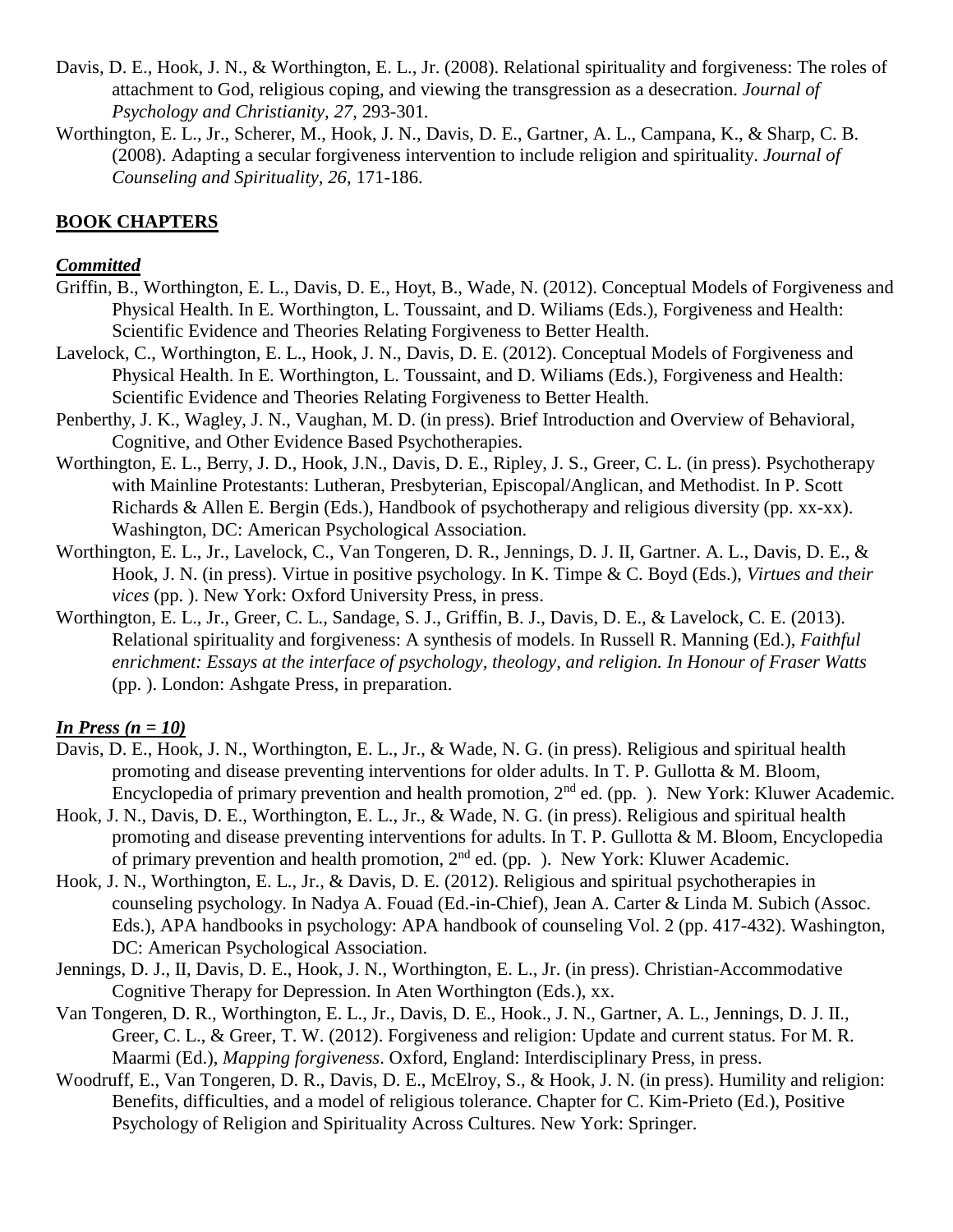- Davis, D. E., Hook, J. N., & Worthington, E. L., Jr. (2008). Relational spirituality and forgiveness: The roles of attachment to God, religious coping, and viewing the transgression as a desecration. *Journal of Psychology and Christianity, 27*, 293-301*.*
- Worthington, E. L., Jr., Scherer, M., Hook, J. N., Davis, D. E., Gartner, A. L., Campana, K., & Sharp, C. B. (2008). Adapting a secular forgiveness intervention to include religion and spirituality. *Journal of Counseling and Spirituality, 26*, 171-186.

# **BOOK CHAPTERS**

## *Committed*

- Griffin, B., Worthington, E. L., Davis, D. E., Hoyt, B., Wade, N. (2012). Conceptual Models of Forgiveness and Physical Health. In E. Worthington, L. Toussaint, and D. Wiliams (Eds.), Forgiveness and Health: Scientific Evidence and Theories Relating Forgiveness to Better Health.
- Lavelock, C., Worthington, E. L., Hook, J. N., Davis, D. E. (2012). Conceptual Models of Forgiveness and Physical Health. In E. Worthington, L. Toussaint, and D. Wiliams (Eds.), Forgiveness and Health: Scientific Evidence and Theories Relating Forgiveness to Better Health.
- Penberthy, J. K., Wagley, J. N., Vaughan, M. D. (in press). Brief Introduction and Overview of Behavioral, Cognitive, and Other Evidence Based Psychotherapies.
- Worthington, E. L., Berry, J. D., Hook, J.N., Davis, D. E., Ripley, J. S., Greer, C. L. (in press). Psychotherapy with Mainline Protestants: Lutheran, Presbyterian, Episcopal/Anglican, and Methodist. In P. Scott Richards & Allen E. Bergin (Eds.), Handbook of psychotherapy and religious diversity (pp. xx-xx). Washington, DC: American Psychological Association.
- Worthington, E. L., Jr., Lavelock, C., Van Tongeren, D. R., Jennings, D. J. II, Gartner. A. L., Davis, D. E., & Hook, J. N. (in press). Virtue in positive psychology. In K. Timpe & C. Boyd (Eds.), *Virtues and their vices* (pp. ). New York: Oxford University Press, in press.
- Worthington, E. L., Jr., Greer, C. L., Sandage, S. J., Griffin, B. J., Davis, D. E., & Lavelock, C. E. (2013). Relational spirituality and forgiveness: A synthesis of models. In Russell R. Manning (Ed.), *Faithful enrichment: Essays at the interface of psychology, theology, and religion. In Honour of Fraser Watts* (pp. ). London: Ashgate Press, in preparation.

## *In Press (n = 10)*

- Davis, D. E., Hook, J. N., Worthington, E. L., Jr., & Wade, N. G. (in press). Religious and spiritual health promoting and disease preventing interventions for older adults. In T. P. Gullotta & M. Bloom, Encyclopedia of primary prevention and health promotion,  $2<sup>nd</sup>$  ed. (pp. ). New York: Kluwer Academic.
- Hook, J. N., Davis, D. E., Worthington, E. L., Jr., & Wade, N. G. (in press). Religious and spiritual health promoting and disease preventing interventions for adults. In T. P. Gullotta & M. Bloom, Encyclopedia of primary prevention and health promotion,  $2<sup>nd</sup>$  ed. (pp. ). New York: Kluwer Academic.
- Hook, J. N., Worthington, E. L., Jr., & Davis, D. E. (2012). Religious and spiritual psychotherapies in counseling psychology. In Nadya A. Fouad (Ed.-in-Chief), Jean A. Carter & Linda M. Subich (Assoc. Eds.), APA handbooks in psychology: APA handbook of counseling Vol. 2 (pp. 417-432). Washington, DC: American Psychological Association.
- Jennings, D. J., II, Davis, D. E., Hook, J. N., Worthington, E. L., Jr. (in press). Christian-Accommodative Cognitive Therapy for Depression. In Aten Worthington (Eds.), xx.
- Van Tongeren, D. R., Worthington, E. L., Jr., Davis, D. E., Hook., J. N., Gartner, A. L., Jennings, D. J. II., Greer, C. L., & Greer, T. W. (2012). Forgiveness and religion: Update and current status. For M. R. Maarmi (Ed.), *Mapping forgiveness*. Oxford, England: Interdisciplinary Press, in press.
- Woodruff, E., Van Tongeren, D. R., Davis, D. E., McElroy, S., & Hook, J. N. (in press). Humility and religion: Benefits, difficulties, and a model of religious tolerance. Chapter for C. Kim-Prieto (Ed.), Positive Psychology of Religion and Spirituality Across Cultures. New York: Springer.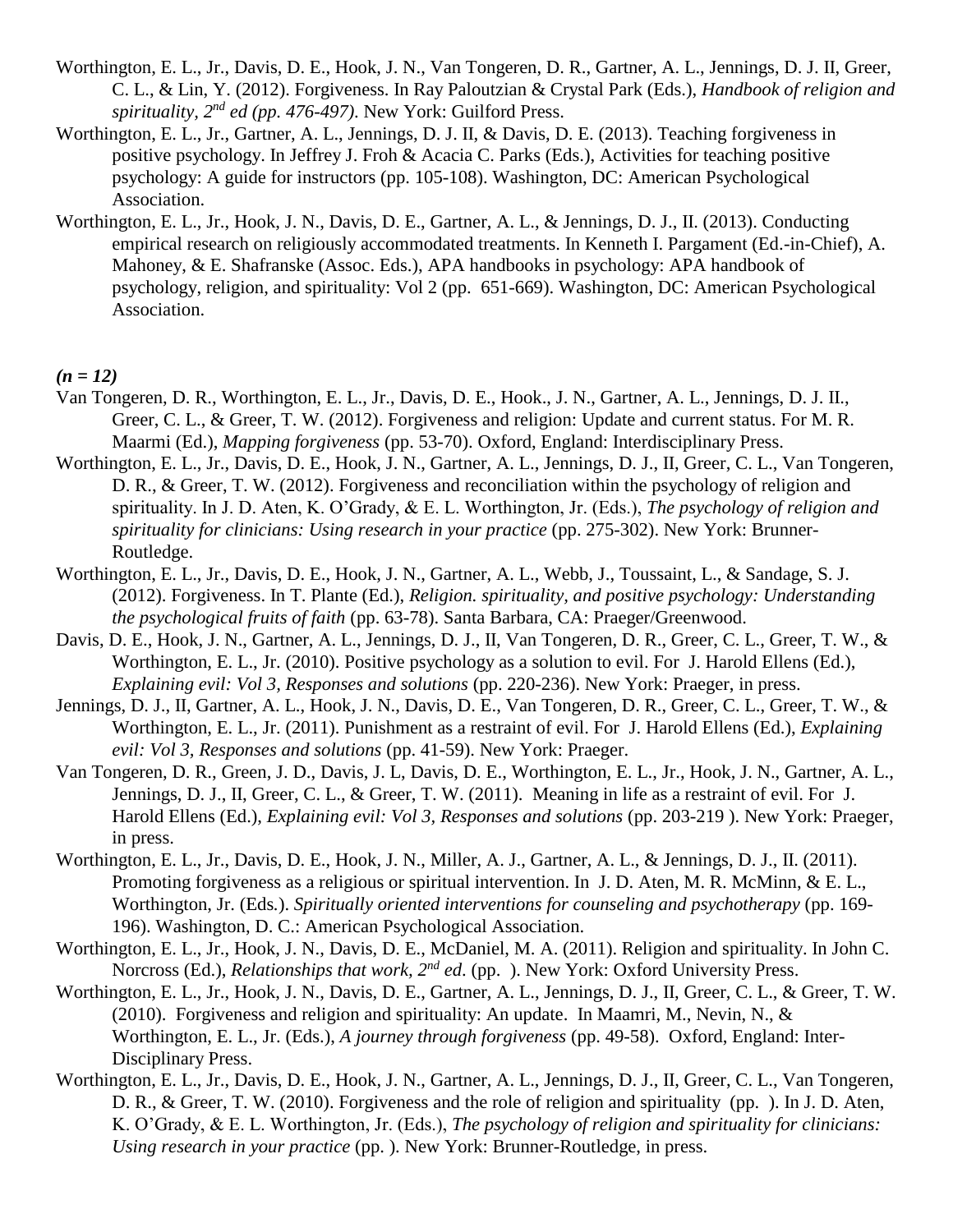- Worthington, E. L., Jr., Davis, D. E., Hook, J. N., Van Tongeren, D. R., Gartner, A. L., Jennings, D. J. II, Greer, C. L., & Lin, Y. (2012). Forgiveness. In Ray Paloutzian & Crystal Park (Eds.), *Handbook of religion and spirituality, 2nd ed (pp. 476-497)*. New York: Guilford Press.
- Worthington, E. L., Jr., Gartner, A. L., Jennings, D. J. II, & Davis, D. E. (2013). Teaching forgiveness in positive psychology. In Jeffrey J. Froh & Acacia C. Parks (Eds.), Activities for teaching positive psychology: A guide for instructors (pp. 105-108). Washington, DC: American Psychological Association.
- Worthington, E. L., Jr., Hook, J. N., Davis, D. E., Gartner, A. L., & Jennings, D. J., II. (2013). Conducting empirical research on religiously accommodated treatments. In Kenneth I. Pargament (Ed.-in-Chief), A. Mahoney, & E. Shafranske (Assoc. Eds.), APA handbooks in psychology: APA handbook of psychology, religion, and spirituality: Vol 2 (pp. 651-669). Washington, DC: American Psychological Association.

*(n = 12)*

- Van Tongeren, D. R., Worthington, E. L., Jr., Davis, D. E., Hook., J. N., Gartner, A. L., Jennings, D. J. II., Greer, C. L., & Greer, T. W. (2012). Forgiveness and religion: Update and current status. For M. R. Maarmi (Ed.), *Mapping forgiveness* (pp. 53-70). Oxford, England: Interdisciplinary Press.
- Worthington, E. L., Jr., Davis, D. E., Hook, J. N., Gartner, A. L., Jennings, D. J., II, Greer, C. L., Van Tongeren, D. R., & Greer, T. W. (2012). Forgiveness and reconciliation within the psychology of religion and spirituality. In J. D. Aten, K. O'Grady, & E. L. Worthington, Jr. (Eds.), *The psychology of religion and spirituality for clinicians: Using research in your practice* (pp. 275-302). New York: Brunner-Routledge.
- Worthington, E. L., Jr., Davis, D. E., Hook, J. N., Gartner, A. L., Webb, J., Toussaint, L., & Sandage, S. J. (2012). Forgiveness. In T. Plante (Ed.), *Religion. spirituality, and positive psychology: Understanding the psychological fruits of faith* (pp. 63-78). Santa Barbara, CA: Praeger/Greenwood.
- Davis, D. E., Hook, J. N., Gartner, A. L., Jennings, D. J., II, Van Tongeren, D. R., Greer, C. L., Greer, T. W., & Worthington, E. L., Jr. (2010). Positive psychology as a solution to evil. For J. Harold Ellens (Ed.), *Explaining evil: Vol 3, Responses and solutions* (pp. 220-236). New York: Praeger, in press.
- Jennings, D. J., II, Gartner, A. L., Hook, J. N., Davis, D. E., Van Tongeren, D. R., Greer, C. L., Greer, T. W., & Worthington, E. L., Jr. (2011). Punishment as a restraint of evil. For J. Harold Ellens (Ed.), *Explaining evil: Vol 3, Responses and solutions* (pp. 41-59). New York: Praeger.
- Van Tongeren, D. R., Green, J. D., Davis, J. L, Davis, D. E., Worthington, E. L., Jr., Hook, J. N., Gartner, A. L., Jennings, D. J., II, Greer, C. L., & Greer, T. W. (2011). Meaning in life as a restraint of evil. For J. Harold Ellens (Ed.), *Explaining evil: Vol 3, Responses and solutions* (pp. 203-219 ). New York: Praeger, in press.
- Worthington, E. L., Jr., Davis, D. E., Hook, J. N., Miller, A. J., Gartner, A. L., & Jennings, D. J., II. (2011). Promoting forgiveness as a religious or spiritual intervention. In J. D. Aten, M. R. McMinn, & E. L., Worthington, Jr. (Eds*.*). *Spiritually oriented interventions for counseling and psychotherapy* (pp. 169- 196). Washington, D. C.: American Psychological Association.
- Worthington, E. L., Jr., Hook, J. N., Davis, D. E., McDaniel, M. A. (2011). Religion and spirituality. In John C. Norcross (Ed.), *Relationships that work, 2nd ed*. (pp. ). New York: Oxford University Press.
- Worthington, E. L., Jr., Hook, J. N., Davis, D. E., Gartner, A. L., Jennings, D. J., II, Greer, C. L., & Greer, T. W. (2010). Forgiveness and religion and spirituality: An update. In Maamri, M., Nevin, N., & Worthington, E. L., Jr. (Eds.), *A journey through forgiveness* (pp. 49-58). Oxford, England: Inter-Disciplinary Press.
- Worthington, E. L., Jr., Davis, D. E., Hook, J. N., Gartner, A. L., Jennings, D. J., II, Greer, C. L., Van Tongeren, D. R., & Greer, T. W. (2010). Forgiveness and the role of religion and spirituality (pp. ). In J. D. Aten, K. O'Grady, & E. L. Worthington, Jr. (Eds.), *The psychology of religion and spirituality for clinicians: Using research in your practice* (pp. ). New York: Brunner-Routledge, in press.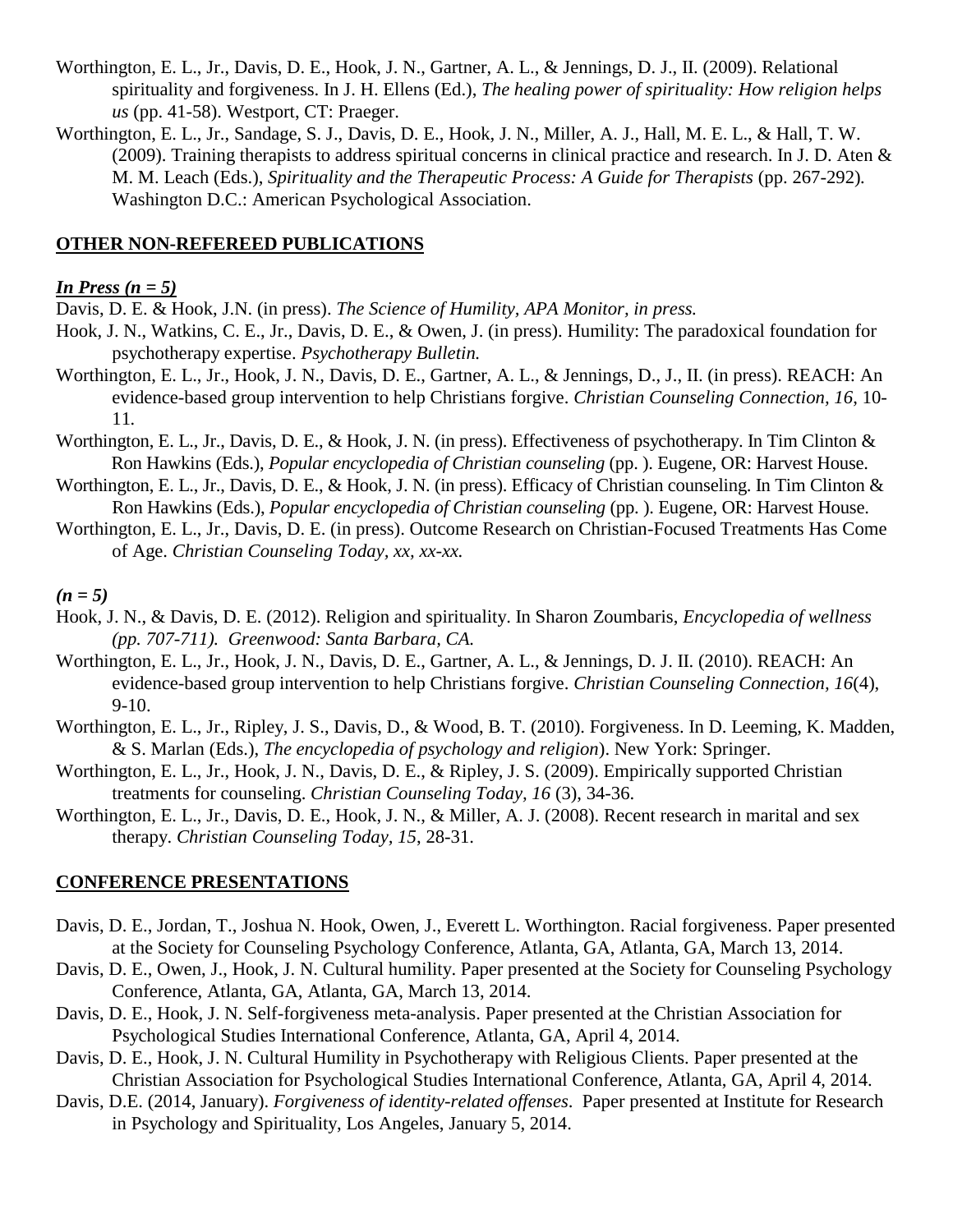- Worthington, E. L., Jr., Davis, D. E., Hook, J. N., Gartner, A. L., & Jennings, D. J., II. (2009). Relational spirituality and forgiveness. In J. H. Ellens (Ed.), *The healing power of spirituality: How religion helps us* (pp. 41-58). Westport, CT: Praeger.
- Worthington, E. L., Jr., Sandage, S. J., Davis, D. E., Hook, J. N., Miller, A. J., Hall, M. E. L., & Hall, T. W. (2009). Training therapists to address spiritual concerns in clinical practice and research. In J. D. Aten & M. M. Leach (Eds.), *Spirituality and the Therapeutic Process: A Guide for Therapists* (pp. 267-292)*.*  Washington D.C.: American Psychological Association.

## **OTHER NON-REFEREED PUBLICATIONS**

### *In Press (n = 5)*

Davis, D. E. & Hook, J.N. (in press). *The Science of Humility, APA Monitor, in press.*

- Hook, J. N., Watkins, C. E., Jr., Davis, D. E., & Owen, J. (in press). Humility: The paradoxical foundation for psychotherapy expertise. *Psychotherapy Bulletin.*
- Worthington, E. L., Jr., Hook, J. N., Davis, D. E., Gartner, A. L., & Jennings, D., J., II. (in press). REACH: An evidence-based group intervention to help Christians forgive. *Christian Counseling Connection, 16*, 10- 11*.*
- Worthington, E. L., Jr., Davis, D. E., & Hook, J. N. (in press). Effectiveness of psychotherapy. In Tim Clinton & Ron Hawkins (Eds.), *Popular encyclopedia of Christian counseling* (pp. ). Eugene, OR: Harvest House.
- Worthington, E. L., Jr., Davis, D. E., & Hook, J. N. (in press). Efficacy of Christian counseling. In Tim Clinton & Ron Hawkins (Eds.), *Popular encyclopedia of Christian counseling* (pp. ). Eugene, OR: Harvest House.
- Worthington, E. L., Jr., Davis, D. E. (in press). Outcome Research on Christian-Focused Treatments Has Come of Age. *Christian Counseling Today, xx, xx-xx.*

#### *(n = 5)*

- Hook, J. N., & Davis, D. E. (2012). Religion and spirituality. In Sharon Zoumbaris, *Encyclopedia of wellness (pp. 707-711). Greenwood: Santa Barbara, CA.*
- Worthington, E. L., Jr., Hook, J. N., Davis, D. E., Gartner, A. L., & Jennings, D. J. II. (2010). REACH: An evidence-based group intervention to help Christians forgive. *Christian Counseling Connection, 16*(4), 9-10.
- Worthington, E. L., Jr., Ripley, J. S., Davis, D., & Wood, B. T. (2010). Forgiveness. In D. Leeming, K. Madden, & S. Marlan (Eds.), *The encyclopedia of psychology and religion*). New York: Springer.
- Worthington, E. L., Jr., Hook, J. N., Davis, D. E., & Ripley, J. S. (2009). Empirically supported Christian treatments for counseling. *Christian Counseling Today, 16* (3), 34-36.
- Worthington, E. L., Jr., Davis, D. E., Hook, J. N., & Miller, A. J. (2008). Recent research in marital and sex therapy. *Christian Counseling Today, 15*, 28-31.

#### **CONFERENCE PRESENTATIONS**

- Davis, D. E., Jordan, T., Joshua N. Hook, Owen, J., Everett L. Worthington. Racial forgiveness. Paper presented at the Society for Counseling Psychology Conference, Atlanta, GA, Atlanta, GA, March 13, 2014.
- Davis, D. E., Owen, J., Hook, J. N. Cultural humility. Paper presented at the Society for Counseling Psychology Conference, Atlanta, GA, Atlanta, GA, March 13, 2014.
- Davis, D. E., Hook, J. N. Self-forgiveness meta-analysis. Paper presented at the Christian Association for Psychological Studies International Conference, Atlanta, GA, April 4, 2014.
- Davis, D. E., Hook, J. N. Cultural Humility in Psychotherapy with Religious Clients. Paper presented at the Christian Association for Psychological Studies International Conference, Atlanta, GA, April 4, 2014.
- Davis, D.E. (2014, January). *Forgiveness of identity-related offenses*. Paper presented at Institute for Research in Psychology and Spirituality, Los Angeles, January 5, 2014.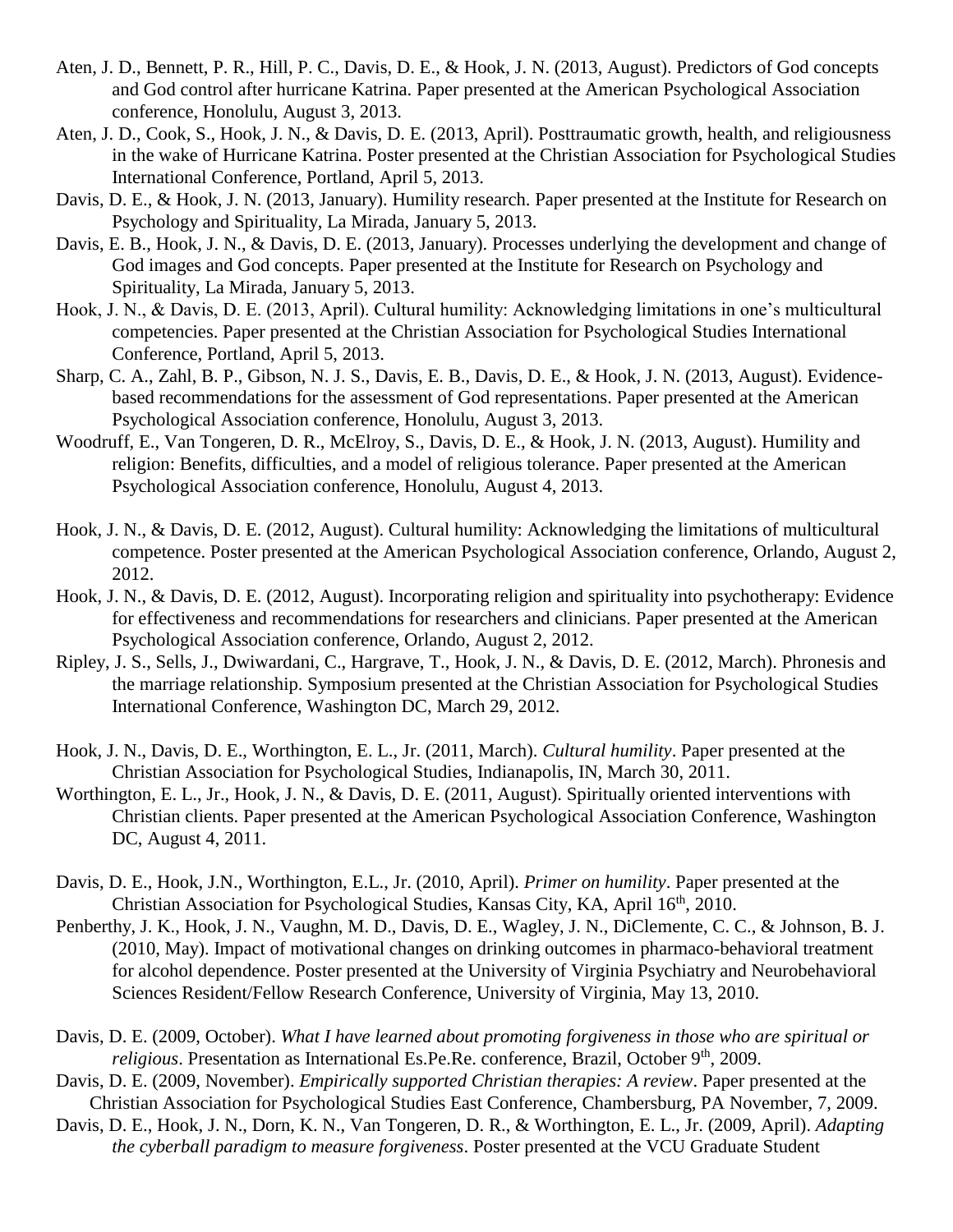- Aten, J. D., Bennett, P. R., Hill, P. C., Davis, D. E., & Hook, J. N. (2013, August). Predictors of God concepts and God control after hurricane Katrina. Paper presented at the American Psychological Association conference, Honolulu, August 3, 2013.
- Aten, J. D., Cook, S., Hook, J. N., & Davis, D. E. (2013, April). Posttraumatic growth, health, and religiousness in the wake of Hurricane Katrina. Poster presented at the Christian Association for Psychological Studies International Conference, Portland, April 5, 2013.
- Davis, D. E., & Hook, J. N. (2013, January). Humility research. Paper presented at the Institute for Research on Psychology and Spirituality, La Mirada, January 5, 2013.
- Davis, E. B., Hook, J. N., & Davis, D. E. (2013, January). Processes underlying the development and change of God images and God concepts. Paper presented at the Institute for Research on Psychology and Spirituality, La Mirada, January 5, 2013.
- Hook, J. N., & Davis, D. E. (2013, April). Cultural humility: Acknowledging limitations in one's multicultural competencies. Paper presented at the Christian Association for Psychological Studies International Conference, Portland, April 5, 2013.
- Sharp, C. A., Zahl, B. P., Gibson, N. J. S., Davis, E. B., Davis, D. E., & Hook, J. N. (2013, August). Evidencebased recommendations for the assessment of God representations. Paper presented at the American Psychological Association conference, Honolulu, August 3, 2013.
- Woodruff, E., Van Tongeren, D. R., McElroy, S., Davis, D. E., & Hook, J. N. (2013, August). Humility and religion: Benefits, difficulties, and a model of religious tolerance. Paper presented at the American Psychological Association conference, Honolulu, August 4, 2013.
- Hook, J. N., & Davis, D. E. (2012, August). Cultural humility: Acknowledging the limitations of multicultural competence. Poster presented at the American Psychological Association conference, Orlando, August 2, 2012.
- Hook, J. N., & Davis, D. E. (2012, August). Incorporating religion and spirituality into psychotherapy: Evidence for effectiveness and recommendations for researchers and clinicians. Paper presented at the American Psychological Association conference, Orlando, August 2, 2012.
- Ripley, J. S., Sells, J., Dwiwardani, C., Hargrave, T., Hook, J. N., & Davis, D. E. (2012, March). Phronesis and the marriage relationship. Symposium presented at the Christian Association for Psychological Studies International Conference, Washington DC, March 29, 2012.
- Hook, J. N., Davis, D. E., Worthington, E. L., Jr. (2011, March). *Cultural humility*. Paper presented at the Christian Association for Psychological Studies, Indianapolis, IN, March 30, 2011.
- Worthington, E. L., Jr., Hook, J. N., & Davis, D. E. (2011, August). Spiritually oriented interventions with Christian clients. Paper presented at the American Psychological Association Conference, Washington DC, August 4, 2011.
- Davis, D. E., Hook, J.N., Worthington, E.L., Jr. (2010, April). *Primer on humility*. Paper presented at the Christian Association for Psychological Studies, Kansas City, KA, April 16<sup>th</sup>, 2010.
- Penberthy, J. K., Hook, J. N., Vaughn, M. D., Davis, D. E., Wagley, J. N., DiClemente, C. C., & Johnson, B. J. (2010, May). Impact of motivational changes on drinking outcomes in pharmaco-behavioral treatment for alcohol dependence. Poster presented at the University of Virginia Psychiatry and Neurobehavioral Sciences Resident/Fellow Research Conference, University of Virginia, May 13, 2010.
- Davis, D. E. (2009, October). *What I have learned about promoting forgiveness in those who are spiritual or religious*. Presentation as International Es.Pe.Re. conference, Brazil, October 9<sup>th</sup>, 2009.
- Davis, D. E. (2009, November). *Empirically supported Christian therapies: A review*. Paper presented at the Christian Association for Psychological Studies East Conference, Chambersburg, PA November, 7, 2009.
- Davis, D. E., Hook, J. N., Dorn, K. N., Van Tongeren, D. R., & Worthington, E. L., Jr. (2009, April). *Adapting the cyberball paradigm to measure forgiveness*. Poster presented at the VCU Graduate Student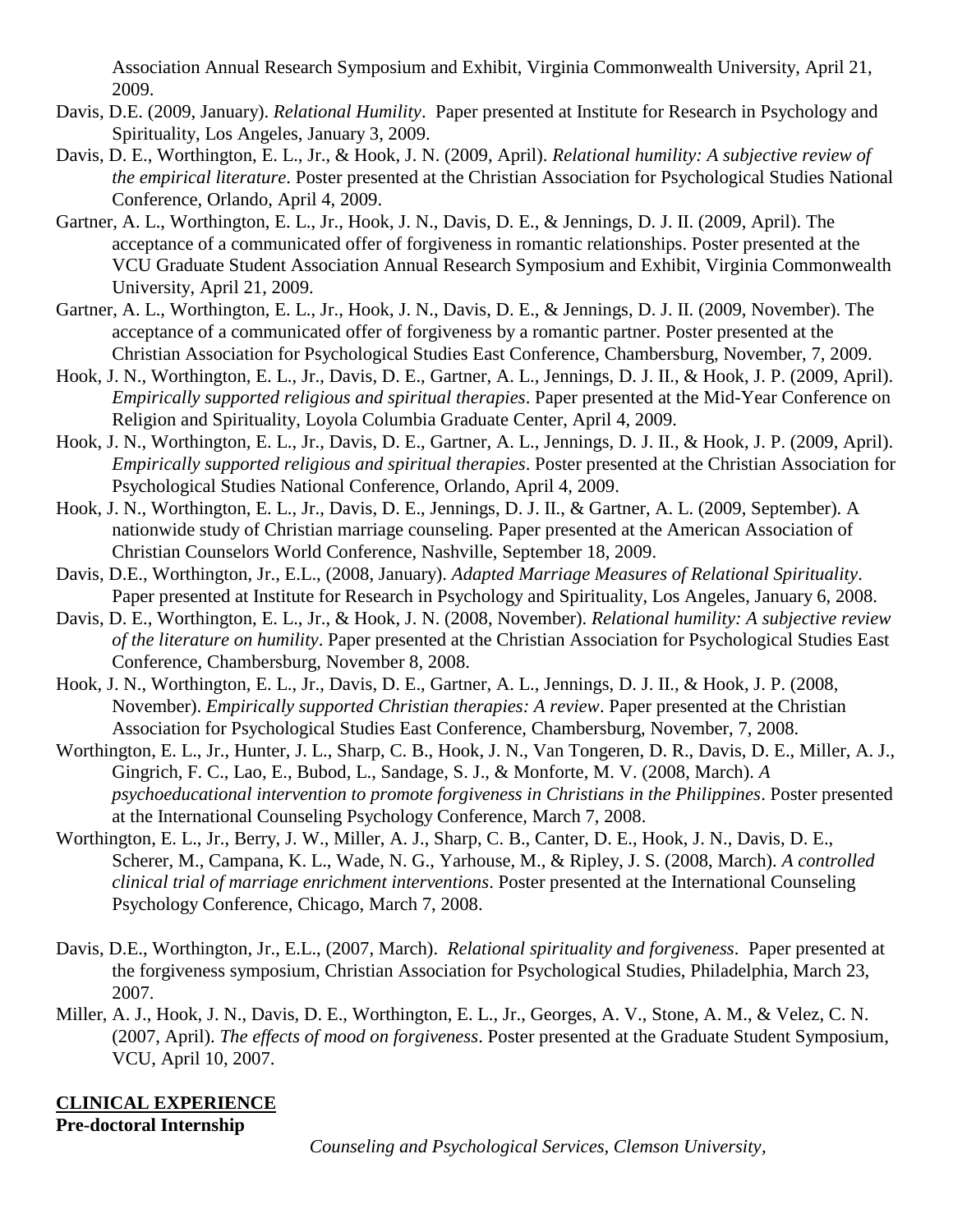Association Annual Research Symposium and Exhibit, Virginia Commonwealth University, April 21, 2009.

- Davis, D.E. (2009, January). *Relational Humility*. Paper presented at Institute for Research in Psychology and Spirituality, Los Angeles, January 3, 2009.
- Davis, D. E., Worthington, E. L., Jr., & Hook, J. N. (2009, April). *Relational humility: A subjective review of the empirical literature*. Poster presented at the Christian Association for Psychological Studies National Conference, Orlando, April 4, 2009.
- Gartner, A. L., Worthington, E. L., Jr., Hook, J. N., Davis, D. E., & Jennings, D. J. II. (2009, April). The acceptance of a communicated offer of forgiveness in romantic relationships. Poster presented at the VCU Graduate Student Association Annual Research Symposium and Exhibit, Virginia Commonwealth University, April 21, 2009.
- Gartner, A. L., Worthington, E. L., Jr., Hook, J. N., Davis, D. E., & Jennings, D. J. II. (2009, November). The acceptance of a communicated offer of forgiveness by a romantic partner. Poster presented at the Christian Association for Psychological Studies East Conference, Chambersburg, November, 7, 2009.
- Hook, J. N., Worthington, E. L., Jr., Davis, D. E., Gartner, A. L., Jennings, D. J. II., & Hook, J. P. (2009, April). *Empirically supported religious and spiritual therapies*. Paper presented at the Mid-Year Conference on Religion and Spirituality, Loyola Columbia Graduate Center, April 4, 2009.
- Hook, J. N., Worthington, E. L., Jr., Davis, D. E., Gartner, A. L., Jennings, D. J. II., & Hook, J. P. (2009, April). *Empirically supported religious and spiritual therapies*. Poster presented at the Christian Association for Psychological Studies National Conference, Orlando, April 4, 2009.
- Hook, J. N., Worthington, E. L., Jr., Davis, D. E., Jennings, D. J. II., & Gartner, A. L. (2009, September). A nationwide study of Christian marriage counseling. Paper presented at the American Association of Christian Counselors World Conference, Nashville, September 18, 2009.
- Davis, D.E., Worthington, Jr., E.L., (2008, January). *Adapted Marriage Measures of Relational Spirituality*. Paper presented at Institute for Research in Psychology and Spirituality, Los Angeles, January 6, 2008.
- Davis, D. E., Worthington, E. L., Jr., & Hook, J. N. (2008, November). *Relational humility: A subjective review of the literature on humility*. Paper presented at the Christian Association for Psychological Studies East Conference, Chambersburg, November 8, 2008.
- Hook, J. N., Worthington, E. L., Jr., Davis, D. E., Gartner, A. L., Jennings, D. J. II., & Hook, J. P. (2008, November). *Empirically supported Christian therapies: A review*. Paper presented at the Christian Association for Psychological Studies East Conference, Chambersburg, November, 7, 2008.
- Worthington, E. L., Jr., Hunter, J. L., Sharp, C. B., Hook, J. N., Van Tongeren, D. R., Davis, D. E., Miller, A. J., Gingrich, F. C., Lao, E., Bubod, L., Sandage, S. J., & Monforte, M. V. (2008, March). *A psychoeducational intervention to promote forgiveness in Christians in the Philippines*. Poster presented at the International Counseling Psychology Conference, March 7, 2008.
- Worthington, E. L., Jr., Berry, J. W., Miller, A. J., Sharp, C. B., Canter, D. E., Hook, J. N., Davis, D. E., Scherer, M., Campana, K. L., Wade, N. G., Yarhouse, M., & Ripley, J. S. (2008, March). *A controlled clinical trial of marriage enrichment interventions*. Poster presented at the International Counseling Psychology Conference, Chicago, March 7, 2008.
- Davis, D.E., Worthington, Jr., E.L., (2007, March). *Relational spirituality and forgiveness*. Paper presented at the forgiveness symposium, Christian Association for Psychological Studies, Philadelphia, March 23, 2007.
- Miller, A. J., Hook, J. N., Davis, D. E., Worthington, E. L., Jr., Georges, A. V., Stone, A. M., & Velez, C. N. (2007, April). *The effects of mood on forgiveness*. Poster presented at the Graduate Student Symposium, VCU, April 10, 2007.

# **CLINICAL EXPERIENCE**

**Pre-doctoral Internship**

*Counseling and Psychological Services, Clemson University,*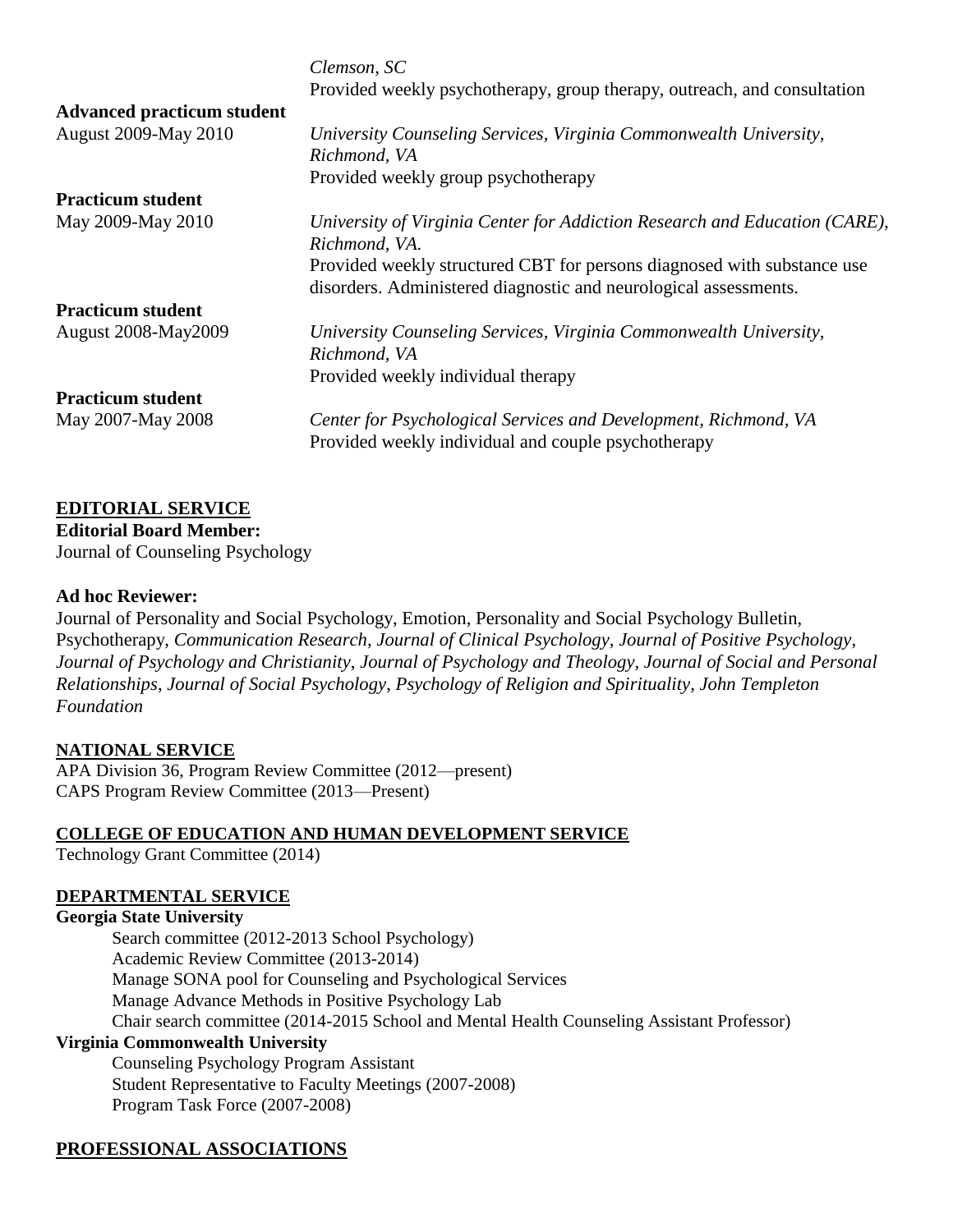|                                   | Clemson, SC<br>Provided weekly psychotherapy, group therapy, outreach, and consultation                                                     |
|-----------------------------------|---------------------------------------------------------------------------------------------------------------------------------------------|
| <b>Advanced practicum student</b> |                                                                                                                                             |
| <b>August 2009-May 2010</b>       | University Counseling Services, Virginia Commonwealth University,<br>Richmond, VA                                                           |
|                                   | Provided weekly group psychotherapy                                                                                                         |
| <b>Practicum student</b>          |                                                                                                                                             |
| May 2009-May 2010                 | University of Virginia Center for Addiction Research and Education (CARE),<br>Richmond, VA.                                                 |
|                                   | Provided weekly structured CBT for persons diagnosed with substance use<br>disorders. Administered diagnostic and neurological assessments. |
| <b>Practicum student</b>          |                                                                                                                                             |
| <b>August 2008-May2009</b>        | University Counseling Services, Virginia Commonwealth University,<br>Richmond, VA                                                           |
|                                   | Provided weekly individual therapy                                                                                                          |
| <b>Practicum student</b>          |                                                                                                                                             |
| May 2007-May 2008                 | Center for Psychological Services and Development, Richmond, VA<br>Provided weekly individual and couple psychotherapy                      |

## **EDITORIAL SERVICE**

**Editorial Board Member:** Journal of Counseling Psychology

#### **Ad hoc Reviewer:**

Journal of Personality and Social Psychology, Emotion, Personality and Social Psychology Bulletin, Psychotherapy, *Communication Research*, *Journal of Clinical Psychology, Journal of Positive Psychology*, *Journal of Psychology and Christianity*, *Journal of Psychology and Theology, Journal of Social and Personal Relationships*, *Journal of Social Psychology*, *Psychology of Religion and Spirituality, John Templeton Foundation*

#### **NATIONAL SERVICE**

APA Division 36, Program Review Committee (2012—present) CAPS Program Review Committee (2013—Present)

## **COLLEGE OF EDUCATION AND HUMAN DEVELOPMENT SERVICE**

Technology Grant Committee (2014)

## **DEPARTMENTAL SERVICE**

#### **Georgia State University**

Search committee (2012-2013 School Psychology) Academic Review Committee (2013-2014) Manage SONA pool for Counseling and Psychological Services Manage Advance Methods in Positive Psychology Lab Chair search committee (2014-2015 School and Mental Health Counseling Assistant Professor)

## **Virginia Commonwealth University**

Counseling Psychology Program Assistant Student Representative to Faculty Meetings (2007-2008) Program Task Force (2007-2008)

## **PROFESSIONAL ASSOCIATIONS**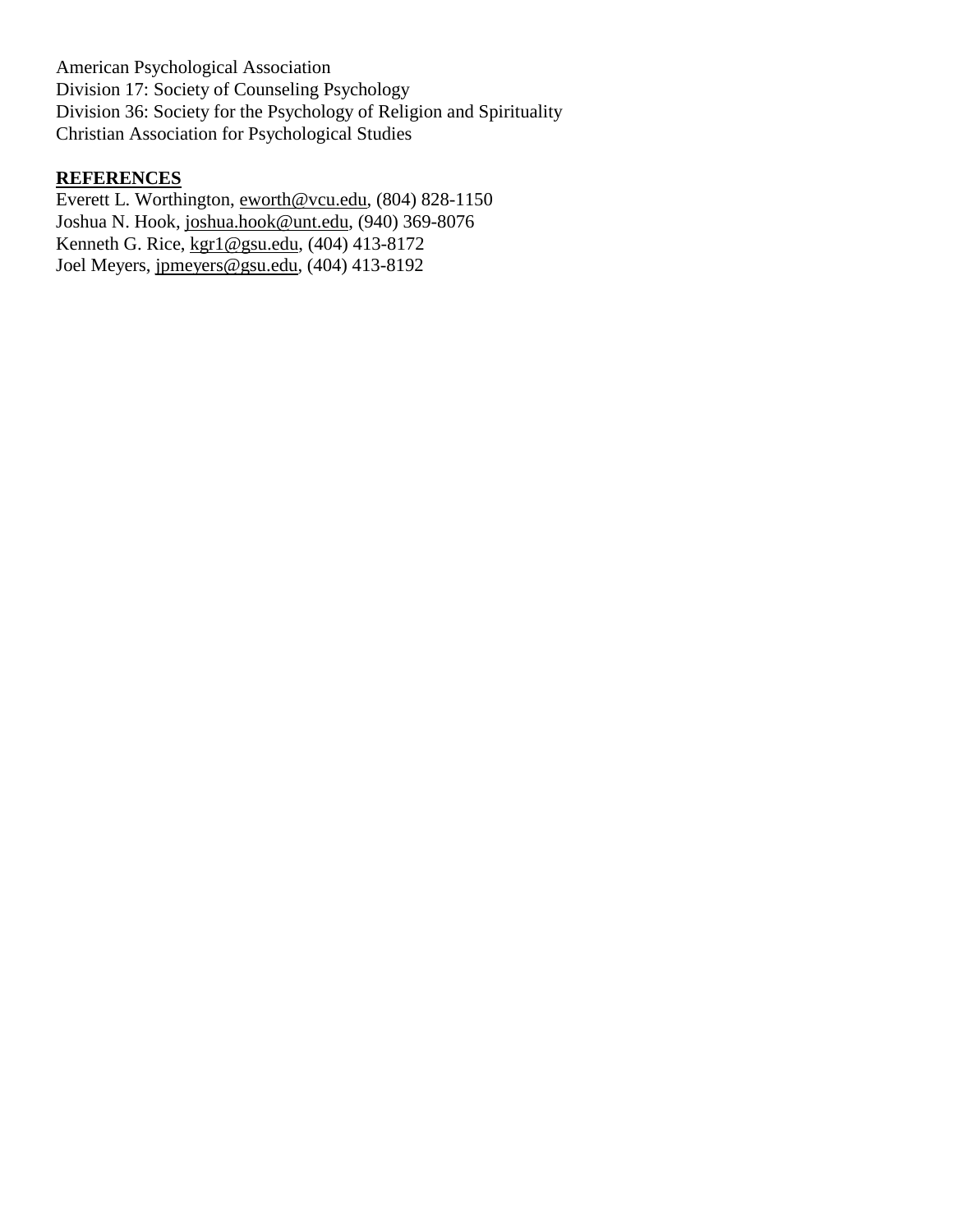American Psychological Association Division 17: Society of Counseling Psychology Division 36: Society for the Psychology of Religion and Spirituality Christian Association for Psychological Studies

## **REFERENCES**

Everett L. Worthington, [eworth@vcu.edu,](mailto:eworth@vcu.edu) (804) 828-1150 Joshua N. Hook, [joshua.hook@unt.edu,](mailto:joshua.hook@unt.edu) (940) 369-8076 Kenneth G. Rice, [kgr1@gsu.edu,](mailto:kgr1@gsu.edu) (404) 413-8172 Joel Meyers, [jpmeyers@gsu.edu,](mailto:jpmeyers@gsu.edu) (404) 413-8192